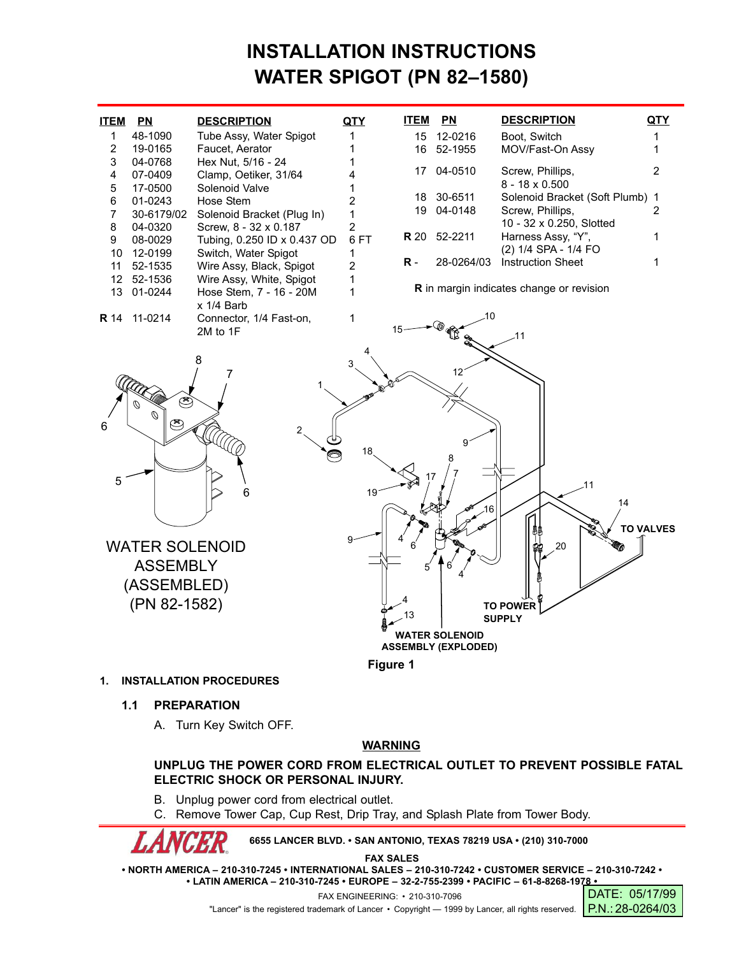# **INSTALLATION INSTRUCTIONS WATER SPIGOT (PN 82–1580)**

| <b>ITEM</b>                              | P <sub>N</sub>                                      | <b>DESCRIPTION</b>                                                  | <b>QTY</b>          | <u>ITEM</u> | P <sub>N</sub>     | <b>DESCRIPTION</b>                                  | QTY              |
|------------------------------------------|-----------------------------------------------------|---------------------------------------------------------------------|---------------------|-------------|--------------------|-----------------------------------------------------|------------------|
| $\mathbf{1}$<br>$\overline{c}$           | 48-1090<br>19-0165                                  | Tube Assy, Water Spigot<br>Faucet, Aerator                          | 1<br>1              | 15<br>16    | 12-0216<br>52-1955 | Boot, Switch<br>MOV/Fast-On Assy                    | 1<br>1           |
| 3<br>4                                   | 04-0768<br>07-0409                                  | Hex Nut, 5/16 - 24<br>Clamp, Oetiker, 31/64                         |                     | 17          | 04-0510            | Screw, Phillips,<br>$8 - 18 \times 0.500$           | 2                |
| 5<br>6<br>7                              | 17-0500<br>01-0243<br>30-6179/02                    | Solenoid Valve<br>Hose Stem<br>Solenoid Bracket (Plug In)           | 1<br>2<br>1         | 18<br>19    | 30-6511<br>04-0148 | Solenoid Bracket (Soft Plumb) 1<br>Screw, Phillips, | 2                |
| 8<br>9                                   | 04-0320<br>08-0029                                  | Screw, 8 - 32 x 0.187<br>Tubing, 0.250 ID x 0.437 OD                | 2<br>6FT            | <b>R</b> 20 | 52-2211            | 10 - 32 x 0.250, Slotted<br>Harness Assy, "Y",      | 1                |
| 10<br>11                                 | 12-0199<br>52-1535                                  | Switch, Water Spigot<br>Wire Assy, Black, Spigot                    | 1<br>$\overline{2}$ | $R -$       | 28-0264/03         | (2) 1/4 SPA - 1/4 FO<br><b>Instruction Sheet</b>    | 1                |
| 12 <sup>2</sup><br>13                    | 52-1536<br>01-0244                                  | Wire Assy, White, Spigot<br>Hose Stem, 7 - 16 - 20M<br>$x$ 1/4 Barb | 1<br>1              |             |                    | <b>R</b> in margin indicates change or revision     |                  |
| <b>R</b> 14                              | 11-0214                                             | Connector, 1/4 Fast-on,<br>2M to 1F                                 | 1                   |             | 10<br>R            | 11                                                  |                  |
|                                          | E<br>Ø                                              | 8                                                                   | 3                   |             | 12                 |                                                     |                  |
| 6<br>5                                   |                                                     | 2                                                                   | 18                  | 17          | 9                  | .11                                                 |                  |
|                                          |                                                     | 6                                                                   | 19                  |             | 16                 | 14                                                  | <b>TO VALVES</b> |
| <b>WATER SOLENOID</b><br><b>ASSEMBLY</b> |                                                     |                                                                     |                     |             |                    | 20                                                  |                  |
|                                          | (ASSEMBLED)<br>(PN 82-1582)                         |                                                                     |                     | 13          |                    | <b>TO POWER</b><br><b>SUPPLY</b>                    |                  |
|                                          | <b>WATER SOLENOID</b><br><b>ASSEMBLY (EXPLODED)</b> |                                                                     |                     |             |                    |                                                     |                  |
| Figure 1                                 |                                                     |                                                                     |                     |             |                    |                                                     |                  |

#### **1. INSTALLATION PROCEDURES**

- **1.1 PREPARATION**
	- A. Turn Key Switch OFF.

## **WARNING**

## **UNPLUG THE POWER CORD FROM ELECTRICAL OUTLET TO PREVENT POSSIBLE FATAL ELECTRIC SHOCK OR PERSONAL INJURY.**

- B. Unplug power cord from electrical outlet.
- C. Remove Tower Cap, Cup Rest, Drip Tray, and Splash Plate from Tower Body.

**6655 LANCER BLVD. • SAN ANTONIO, TEXAS 78219 USA • (210) 310-7000**

**FAX SALES**

**• NORTH AMERICA – 210-310-7245 • INTERNATIONAL SALES – 210-310-7242 • CUSTOMER SERVICE – 210-310-7242 • • LATIN AMERICA – 210-310-7245 • EUROPE – 32-2-755-2399 • PACIFIC – 61-8-8268-1978 •**

FAX ENGINEERING: • 210-310-7096

"Lancer" is the registered trademark of Lancer • Copyright — 1999 by Lancer, all rights reserved. P.N.: 28-0264/03

DATE: 05/17/99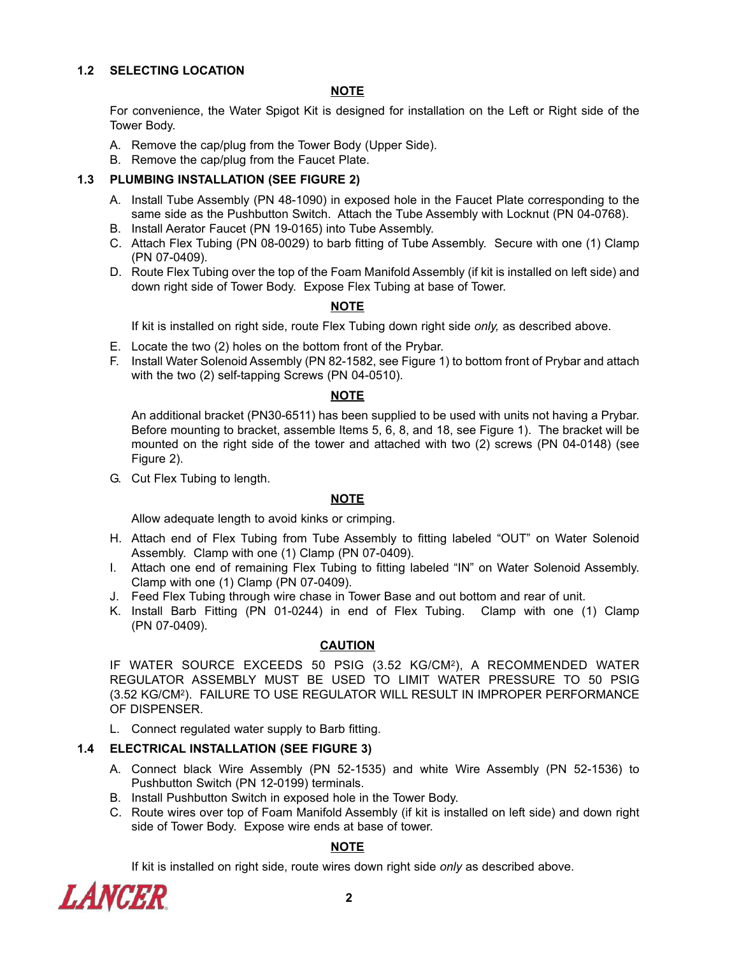## **1.2 SELECTING LOCATION**

### **NOTE**

For convenience, the Water Spigot Kit is designed for installation on the Left or Right side of the Tower Body.

- A. Remove the cap/plug from the Tower Body (Upper Side).
- B. Remove the cap/plug from the Faucet Plate.

## **1.3 PLUMBING INSTALLATION (SEE FIGURE 2)**

- A. Install Tube Assembly (PN 48-1090) in exposed hole in the Faucet Plate corresponding to the same side as the Pushbutton Switch. Attach the Tube Assembly with Locknut (PN 04-0768).
- B. Install Aerator Faucet (PN 19-0165) into Tube Assembly.
- C. Attach Flex Tubing (PN 08-0029) to barb fitting of Tube Assembly. Secure with one (1) Clamp (PN 07-0409).
- D. Route Flex Tubing over the top of the Foam Manifold Assembly (if kit is installed on left side) and down right side of Tower Body. Expose Flex Tubing at base of Tower.

## **NOTE**

If kit is installed on right side, route Flex Tubing down right side *only,* as described above.

- E. Locate the two (2) holes on the bottom front of the Prybar.
- F. Install Water Solenoid Assembly (PN 82-1582, see Figure 1) to bottom front of Prybar and attach with the two (2) self-tapping Screws (PN 04-0510).

#### **NOTE**

An additional bracket (PN30-6511) has been supplied to be used with units not having a Prybar. Before mounting to bracket, assemble Items 5, 6, 8, and 18, see Figure 1). The bracket will be mounted on the right side of the tower and attached with two (2) screws (PN 04-0148) (see Figure 2).

G. Cut Flex Tubing to length.

## **NOTE**

Allow adequate length to avoid kinks or crimping.

- H. Attach end of Flex Tubing from Tube Assembly to fitting labeled "OUT" on Water Solenoid Assembly. Clamp with one (1) Clamp (PN 07-0409).
- I. Attach one end of remaining Flex Tubing to fitting labeled "IN" on Water Solenoid Assembly. Clamp with one (1) Clamp (PN 07-0409).
- J. Feed Flex Tubing through wire chase in Tower Base and out bottom and rear of unit.
- K. Install Barb Fitting (PN 01-0244) in end of Flex Tubing. Clamp with one (1) Clamp (PN 07-0409).

#### **CAUTION**

IF WATER SOURCE EXCEEDS 50 PSIG (3.52 KG/CM2), A RECOMMENDED WATER REGULATOR ASSEMBLY MUST BE USED TO LIMIT WATER PRESSURE TO 50 PSIG (3.52 KG/CM2). FAILURE TO USE REGULATOR WILL RESULT IN IMPROPER PERFORMANCE OF DISPENSER.

L. Connect regulated water supply to Barb fitting.

## **1.4 ELECTRICAL INSTALLATION (SEE FIGURE 3)**

- A. Connect black Wire Assembly (PN 52-1535) and white Wire Assembly (PN 52-1536) to Pushbutton Switch (PN 12-0199) terminals.
- B. Install Pushbutton Switch in exposed hole in the Tower Body.
- C. Route wires over top of Foam Manifold Assembly (if kit is installed on left side) and down right side of Tower Body. Expose wire ends at base of tower.

#### **NOTE**

If kit is installed on right side, route wires down right side *only* as described above.

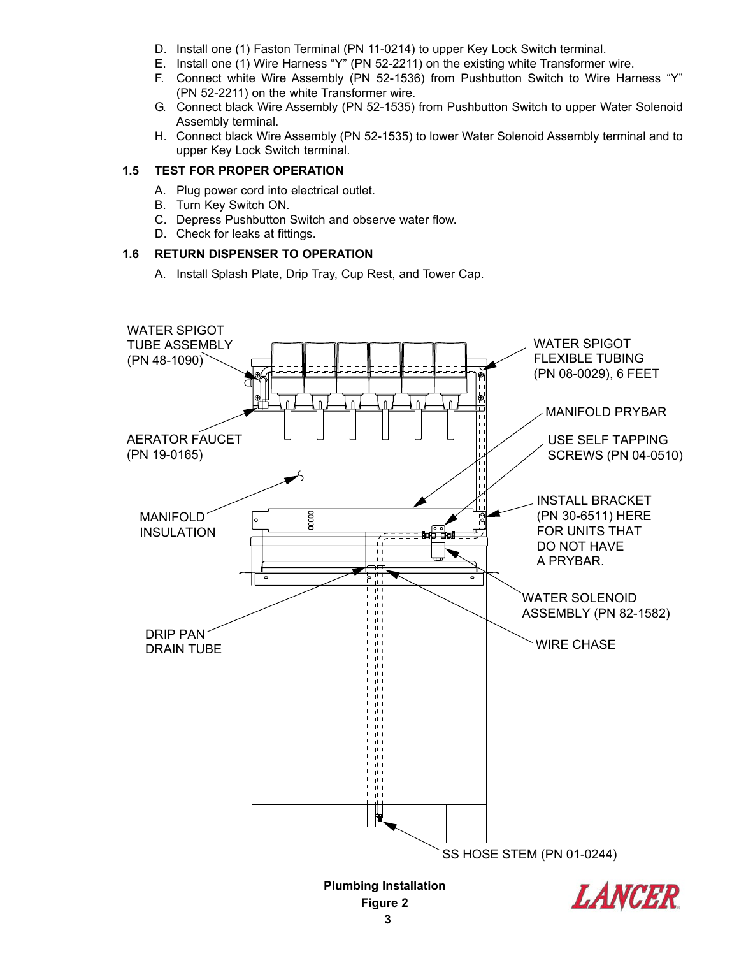- D. Install one (1) Faston Terminal (PN 11-0214) to upper Key Lock Switch terminal.
- E. Install one (1) Wire Harness "Y" (PN 52-2211) on the existing white Transformer wire.
- F. Connect white Wire Assembly (PN 52-1536) from Pushbutton Switch to Wire Harness "Y" (PN 52-2211) on the white Transformer wire.
- G. Connect black Wire Assembly (PN 52-1535) from Pushbutton Switch to upper Water Solenoid Assembly terminal.
- H. Connect black Wire Assembly (PN 52-1535) to lower Water Solenoid Assembly terminal and to upper Key Lock Switch terminal.

#### **1.5 TEST FOR PROPER OPERATION**

- A. Plug power cord into electrical outlet.
- B. Turn Key Switch ON.
- C. Depress Pushbutton Switch and observe water flow.
- D. Check for leaks at fittings.

## **1.6 RETURN DISPENSER TO OPERATION**

A. Install Splash Plate, Drip Tray, Cup Rest, and Tower Cap.